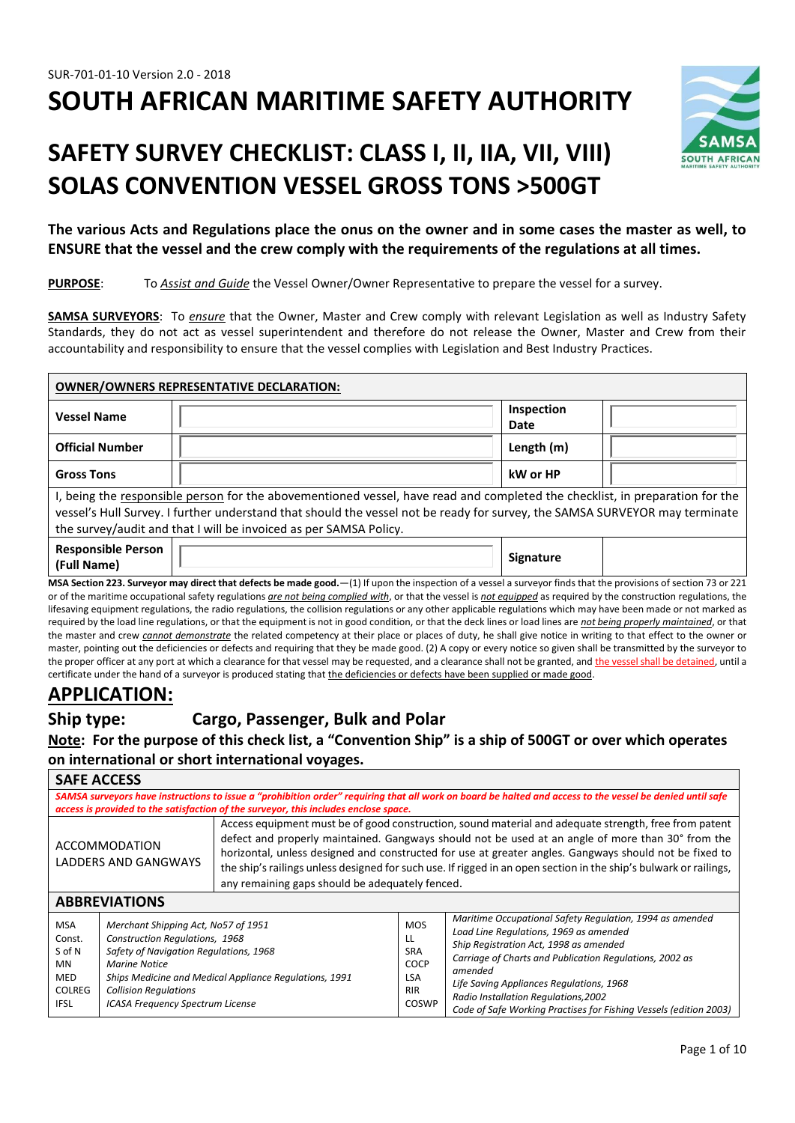# **SOUTH AFRICAN MARITIME SAFETY AUTHORITY**

## **SAFETY SURVEY CHECKLIST: CLASS I, II, IIA, VII, VIII) SOLAS CONVENTION VESSEL GROSS TONS >500GT**



**The various Acts and Regulations place the onus on the owner and in some cases the master as well, to ENSURE that the vessel and the crew comply with the requirements of the regulations at all times.**

**PURPOSE**: To *Assist and Guide* the Vessel Owner/Owner Representative to prepare the vessel for a survey.

**SAMSA SURVEYORS**: To *ensure* that the Owner, Master and Crew comply with relevant Legislation as well as Industry Safety Standards, they do not act as vessel superintendent and therefore do not release the Owner, Master and Crew from their accountability and responsibility to ensure that the vessel complies with Legislation and Best Industry Practices.

| <b>OWNER/OWNERS REPRESENTATIVE DECLARATION:</b>                                                                                                                                                                                                                                                                                  |  |                    |  |
|----------------------------------------------------------------------------------------------------------------------------------------------------------------------------------------------------------------------------------------------------------------------------------------------------------------------------------|--|--------------------|--|
| <b>Vessel Name</b>                                                                                                                                                                                                                                                                                                               |  | Inspection<br>Date |  |
| <b>Official Number</b>                                                                                                                                                                                                                                                                                                           |  | Length (m)         |  |
| <b>Gross Tons</b>                                                                                                                                                                                                                                                                                                                |  | kW or HP           |  |
| I, being the responsible person for the abovementioned vessel, have read and completed the checklist, in preparation for the<br>vessel's Hull Survey. I further understand that should the vessel not be ready for survey, the SAMSA SURVEYOR may terminate<br>the survey/audit and that I will be invoiced as per SAMSA Policy. |  |                    |  |
| <b>Responsible Person</b><br>(Full Name)                                                                                                                                                                                                                                                                                         |  | <b>Signature</b>   |  |
| $MSA$ Section 223. Surveyor may direct that defects be made good $-11$ If upon the inspection of a vessel a surveyor finds that the provisions of section 73 or 221                                                                                                                                                              |  |                    |  |

**MSA Section 223. Surveyor may direct that defects be made good.**—(1) If upon the inspection of a vessel a surveyor finds that the provisions of section 73 or 221 or of the maritime occupational safety regulations *are not being complied with*, or that the vessel is *not equipped* as required by the construction regulations, the lifesaving equipment regulations, the radio regulations, the collision regulations or any other applicable regulations which may have been made or not marked as required by the load line regulations, or that the equipment is not in good condition, or that the deck lines or load lines are *not being properly maintained*, or that the master and crew *cannot demonstrate* the related competency at their place or places of duty, he shall give notice in writing to that effect to the owner or master, pointing out the deficiencies or defects and requiring that they be made good. (2) A copy or every notice so given shall be transmitted by the surveyor to the proper officer at any port at which a clearance for that vessel may be requested, and a clearance shall not be granted, and the vessel shall be detained, until a certificate under the hand of a surveyor is produced stating that the deficiencies or defects have been supplied or made good.

## **APPLICATION:**

## **Ship type: Cargo, Passenger, Bulk and Polar**

**Note: For the purpose of this check list, a "Convention Ship" is a ship of 500GT or over which operates on international or short international voyages.**

| <b>SAFE ACCESS</b>                                                                                                                                                                                                                                                                                                                                                                                                                                                                                                                                  |                                                                                                                                                                                                                                                                       |                                                                                      |                                                                                    |                                                                                                                                                                                                                                                                                                                                                                             |
|-----------------------------------------------------------------------------------------------------------------------------------------------------------------------------------------------------------------------------------------------------------------------------------------------------------------------------------------------------------------------------------------------------------------------------------------------------------------------------------------------------------------------------------------------------|-----------------------------------------------------------------------------------------------------------------------------------------------------------------------------------------------------------------------------------------------------------------------|--------------------------------------------------------------------------------------|------------------------------------------------------------------------------------|-----------------------------------------------------------------------------------------------------------------------------------------------------------------------------------------------------------------------------------------------------------------------------------------------------------------------------------------------------------------------------|
|                                                                                                                                                                                                                                                                                                                                                                                                                                                                                                                                                     |                                                                                                                                                                                                                                                                       | access is provided to the satisfaction of the surveyor, this includes enclose space. |                                                                                    | SAMSA surveyors have instructions to issue a "prohibition order" requiring that all work on board be halted and access to the vessel be denied until safe                                                                                                                                                                                                                   |
| Access equipment must be of good construction, sound material and adequate strength, free from patent<br>defect and properly maintained. Gangways should not be used at an angle of more than 30° from the<br><b>ACCOMMODATION</b><br>horizontal, unless designed and constructed for use at greater angles. Gangways should not be fixed to<br><b>LADDERS AND GANGWAYS</b><br>the ship's railings unless designed for such use. If rigged in an open section in the ship's bulwark or railings,<br>any remaining gaps should be adequately fenced. |                                                                                                                                                                                                                                                                       |                                                                                      |                                                                                    |                                                                                                                                                                                                                                                                                                                                                                             |
|                                                                                                                                                                                                                                                                                                                                                                                                                                                                                                                                                     | <b>ABBREVIATIONS</b>                                                                                                                                                                                                                                                  |                                                                                      |                                                                                    |                                                                                                                                                                                                                                                                                                                                                                             |
| <b>MSA</b><br>Const.<br>S of N<br><b>MN</b><br>MED<br><b>COLREG</b><br><b>IFSL</b>                                                                                                                                                                                                                                                                                                                                                                                                                                                                  | Merchant Shipping Act, No57 of 1951<br>Construction Regulations, 1968<br>Safety of Navigation Regulations, 1968<br>Marine Notice<br>Ships Medicine and Medical Appliance Regulations, 1991<br><b>Collision Regulations</b><br><b>ICASA Frequency Spectrum License</b> |                                                                                      | <b>MOS</b><br>LL<br><b>SRA</b><br><b>COCP</b><br><b>LSA</b><br><b>RIR</b><br>COSWP | Maritime Occupational Safety Regulation, 1994 as amended<br>Load Line Regulations, 1969 as amended<br>Ship Registration Act, 1998 as amended<br>Carriage of Charts and Publication Regulations, 2002 as<br>amended<br>Life Saving Appliances Regulations, 1968<br>Radio Installation Regulations, 2002<br>Code of Safe Working Practises for Fishing Vessels (edition 2003) |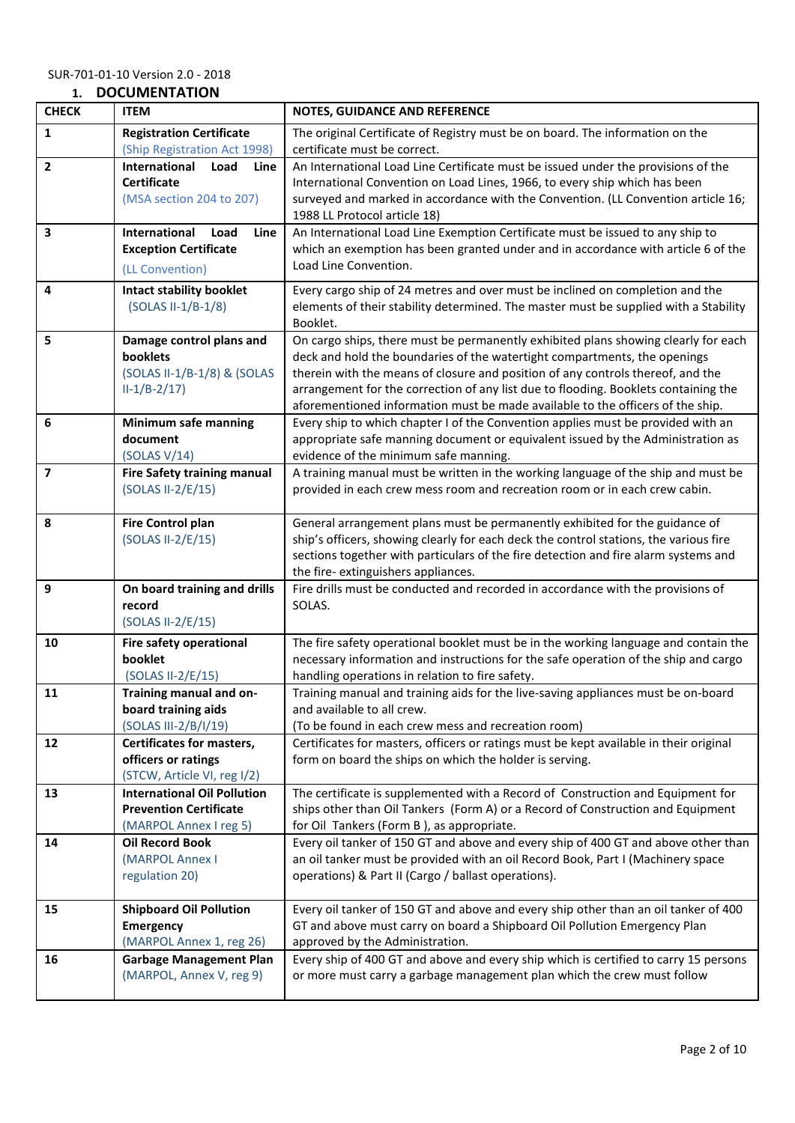### **1. DOCUMENTATION**

| <b>CHECK</b>   | <b>ITEM</b>                                                       | NOTES, GUIDANCE AND REFERENCE                                                                                                                                         |
|----------------|-------------------------------------------------------------------|-----------------------------------------------------------------------------------------------------------------------------------------------------------------------|
| 1              | <b>Registration Certificate</b>                                   | The original Certificate of Registry must be on board. The information on the                                                                                         |
|                | (Ship Registration Act 1998)                                      | certificate must be correct.                                                                                                                                          |
| $\mathbf{2}$   | International<br>Load<br>Line                                     | An International Load Line Certificate must be issued under the provisions of the                                                                                     |
|                | <b>Certificate</b>                                                | International Convention on Load Lines, 1966, to every ship which has been                                                                                            |
|                | (MSA section 204 to 207)                                          | surveyed and marked in accordance with the Convention. (LL Convention article 16;                                                                                     |
| 3              | International<br>Load<br>Line                                     | 1988 LL Protocol article 18)<br>An International Load Line Exemption Certificate must be issued to any ship to                                                        |
|                | <b>Exception Certificate</b>                                      | which an exemption has been granted under and in accordance with article 6 of the                                                                                     |
|                | (LL Convention)                                                   | Load Line Convention.                                                                                                                                                 |
| 4              | <b>Intact stability booklet</b>                                   | Every cargo ship of 24 metres and over must be inclined on completion and the                                                                                         |
|                | (SOLAS II-1/B-1/8)                                                | elements of their stability determined. The master must be supplied with a Stability                                                                                  |
|                |                                                                   | Booklet.                                                                                                                                                              |
| 5              | Damage control plans and                                          | On cargo ships, there must be permanently exhibited plans showing clearly for each                                                                                    |
|                | <b>booklets</b>                                                   | deck and hold the boundaries of the watertight compartments, the openings                                                                                             |
|                | (SOLAS II-1/B-1/8) & (SOLAS                                       | therein with the means of closure and position of any controls thereof, and the                                                                                       |
|                | $II-1/B-2/17$                                                     | arrangement for the correction of any list due to flooding. Booklets containing the<br>aforementioned information must be made available to the officers of the ship. |
| 6              | <b>Minimum safe manning</b>                                       | Every ship to which chapter I of the Convention applies must be provided with an                                                                                      |
|                | document                                                          | appropriate safe manning document or equivalent issued by the Administration as                                                                                       |
|                | (SOLAS $V/14$ )                                                   | evidence of the minimum safe manning.                                                                                                                                 |
| $\overline{7}$ | <b>Fire Safety training manual</b>                                | A training manual must be written in the working language of the ship and must be                                                                                     |
|                | (SOLAS II-2/E/15)                                                 | provided in each crew mess room and recreation room or in each crew cabin.                                                                                            |
| 8              | <b>Fire Control plan</b>                                          | General arrangement plans must be permanently exhibited for the guidance of                                                                                           |
|                | (SOLAS II-2/E/15)                                                 | ship's officers, showing clearly for each deck the control stations, the various fire                                                                                 |
|                |                                                                   | sections together with particulars of the fire detection and fire alarm systems and                                                                                   |
|                |                                                                   | the fire-extinguishers appliances.                                                                                                                                    |
| 9              | On board training and drills                                      | Fire drills must be conducted and recorded in accordance with the provisions of                                                                                       |
|                | record                                                            | SOLAS.                                                                                                                                                                |
|                | (SOLAS II-2/E/15)                                                 |                                                                                                                                                                       |
| 10             | Fire safety operational                                           | The fire safety operational booklet must be in the working language and contain the                                                                                   |
|                | booklet<br>(SOLAS II-2/E/15)                                      | necessary information and instructions for the safe operation of the ship and cargo<br>handling operations in relation to fire safety.                                |
| 11             | Training manual and on-                                           | Training manual and training aids for the live-saving appliances must be on-board                                                                                     |
|                | board training aids                                               | and available to all crew.                                                                                                                                            |
|                | (SOLAS III-2/B/I/19)                                              | (To be found in each crew mess and recreation room)                                                                                                                   |
| 12             | <b>Certificates for masters,</b>                                  | Certificates for masters, officers or ratings must be kept available in their original                                                                                |
|                | officers or ratings                                               | form on board the ships on which the holder is serving.                                                                                                               |
| 13             | (STCW, Article VI, reg I/2)<br><b>International Oil Pollution</b> | The certificate is supplemented with a Record of Construction and Equipment for                                                                                       |
|                | <b>Prevention Certificate</b>                                     | ships other than Oil Tankers (Form A) or a Record of Construction and Equipment                                                                                       |
|                | (MARPOL Annex I reg 5)                                            | for Oil Tankers (Form B), as appropriate.                                                                                                                             |
| 14             | <b>Oil Record Book</b>                                            | Every oil tanker of 150 GT and above and every ship of 400 GT and above other than                                                                                    |
|                | (MARPOL Annex I                                                   | an oil tanker must be provided with an oil Record Book, Part I (Machinery space                                                                                       |
|                | regulation 20)                                                    | operations) & Part II (Cargo / ballast operations).                                                                                                                   |
| 15             | <b>Shipboard Oil Pollution</b>                                    | Every oil tanker of 150 GT and above and every ship other than an oil tanker of 400                                                                                   |
|                | <b>Emergency</b>                                                  | GT and above must carry on board a Shipboard Oil Pollution Emergency Plan                                                                                             |
|                | (MARPOL Annex 1, reg 26)                                          | approved by the Administration.                                                                                                                                       |
| 16             | <b>Garbage Management Plan</b>                                    | Every ship of 400 GT and above and every ship which is certified to carry 15 persons                                                                                  |
|                | (MARPOL, Annex V, reg 9)                                          | or more must carry a garbage management plan which the crew must follow                                                                                               |
|                |                                                                   |                                                                                                                                                                       |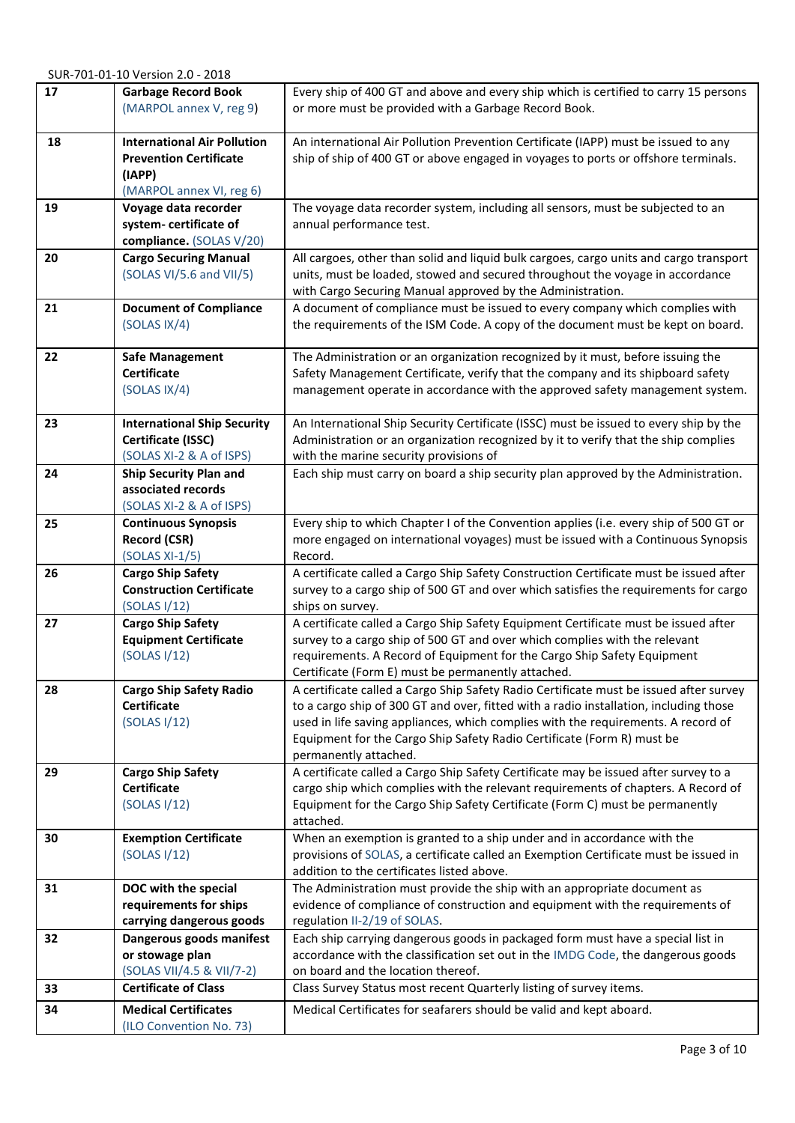| 17 | <b>Garbage Record Book</b><br>(MARPOL annex V, reg 9)                                                     | Every ship of 400 GT and above and every ship which is certified to carry 15 persons<br>or more must be provided with a Garbage Record Book.                                                                                                                                                                                                                            |
|----|-----------------------------------------------------------------------------------------------------------|-------------------------------------------------------------------------------------------------------------------------------------------------------------------------------------------------------------------------------------------------------------------------------------------------------------------------------------------------------------------------|
| 18 | <b>International Air Pollution</b><br><b>Prevention Certificate</b><br>(IAPP)<br>(MARPOL annex VI, reg 6) | An international Air Pollution Prevention Certificate (IAPP) must be issued to any<br>ship of ship of 400 GT or above engaged in voyages to ports or offshore terminals.                                                                                                                                                                                                |
| 19 | Voyage data recorder<br>system-certificate of<br>compliance. (SOLAS V/20)                                 | The voyage data recorder system, including all sensors, must be subjected to an<br>annual performance test.                                                                                                                                                                                                                                                             |
| 20 | <b>Cargo Securing Manual</b><br>(SOLAS VI/5.6 and VII/5)                                                  | All cargoes, other than solid and liquid bulk cargoes, cargo units and cargo transport<br>units, must be loaded, stowed and secured throughout the voyage in accordance<br>with Cargo Securing Manual approved by the Administration.                                                                                                                                   |
| 21 | <b>Document of Compliance</b><br>(SOLAS IX/4)                                                             | A document of compliance must be issued to every company which complies with<br>the requirements of the ISM Code. A copy of the document must be kept on board.                                                                                                                                                                                                         |
| 22 | <b>Safe Management</b><br><b>Certificate</b><br>(SOLAS IX/4)                                              | The Administration or an organization recognized by it must, before issuing the<br>Safety Management Certificate, verify that the company and its shipboard safety<br>management operate in accordance with the approved safety management system.                                                                                                                      |
| 23 | <b>International Ship Security</b><br>Certificate (ISSC)<br>(SOLAS XI-2 & A of ISPS)                      | An International Ship Security Certificate (ISSC) must be issued to every ship by the<br>Administration or an organization recognized by it to verify that the ship complies<br>with the marine security provisions of                                                                                                                                                  |
| 24 | <b>Ship Security Plan and</b><br>associated records<br>(SOLAS XI-2 & A of ISPS)                           | Each ship must carry on board a ship security plan approved by the Administration.                                                                                                                                                                                                                                                                                      |
| 25 | <b>Continuous Synopsis</b><br><b>Record (CSR)</b><br>$(SOLAS XI-1/5)$                                     | Every ship to which Chapter I of the Convention applies (i.e. every ship of 500 GT or<br>more engaged on international voyages) must be issued with a Continuous Synopsis<br>Record.                                                                                                                                                                                    |
| 26 | <b>Cargo Ship Safety</b><br><b>Construction Certificate</b><br>(SOLAS I/12)                               | A certificate called a Cargo Ship Safety Construction Certificate must be issued after<br>survey to a cargo ship of 500 GT and over which satisfies the requirements for cargo<br>ships on survey.                                                                                                                                                                      |
| 27 | <b>Cargo Ship Safety</b><br><b>Equipment Certificate</b><br>(SOLAS I/12)                                  | A certificate called a Cargo Ship Safety Equipment Certificate must be issued after<br>survey to a cargo ship of 500 GT and over which complies with the relevant<br>requirements. A Record of Equipment for the Cargo Ship Safety Equipment<br>Certificate (Form E) must be permanently attached.                                                                      |
| 28 | <b>Cargo Ship Safety Radio</b><br><b>Certificate</b><br>(SOLAS I/12)                                      | A certificate called a Cargo Ship Safety Radio Certificate must be issued after survey<br>to a cargo ship of 300 GT and over, fitted with a radio installation, including those<br>used in life saving appliances, which complies with the requirements. A record of<br>Equipment for the Cargo Ship Safety Radio Certificate (Form R) must be<br>permanently attached. |
| 29 | <b>Cargo Ship Safety</b><br><b>Certificate</b><br>(SOLAS I/12)                                            | A certificate called a Cargo Ship Safety Certificate may be issued after survey to a<br>cargo ship which complies with the relevant requirements of chapters. A Record of<br>Equipment for the Cargo Ship Safety Certificate (Form C) must be permanently<br>attached.                                                                                                  |
| 30 | <b>Exemption Certificate</b><br>(SOLAS I/12)                                                              | When an exemption is granted to a ship under and in accordance with the<br>provisions of SOLAS, a certificate called an Exemption Certificate must be issued in<br>addition to the certificates listed above.                                                                                                                                                           |
| 31 | DOC with the special<br>requirements for ships<br>carrying dangerous goods                                | The Administration must provide the ship with an appropriate document as<br>evidence of compliance of construction and equipment with the requirements of<br>regulation II-2/19 of SOLAS.                                                                                                                                                                               |
| 32 | Dangerous goods manifest<br>or stowage plan<br>(SOLAS VII/4.5 & VII/7-2)                                  | Each ship carrying dangerous goods in packaged form must have a special list in<br>accordance with the classification set out in the IMDG Code, the dangerous goods<br>on board and the location thereof.                                                                                                                                                               |
| 33 | <b>Certificate of Class</b>                                                                               | Class Survey Status most recent Quarterly listing of survey items.                                                                                                                                                                                                                                                                                                      |
| 34 | <b>Medical Certificates</b><br>(ILO Convention No. 73)                                                    | Medical Certificates for seafarers should be valid and kept aboard.                                                                                                                                                                                                                                                                                                     |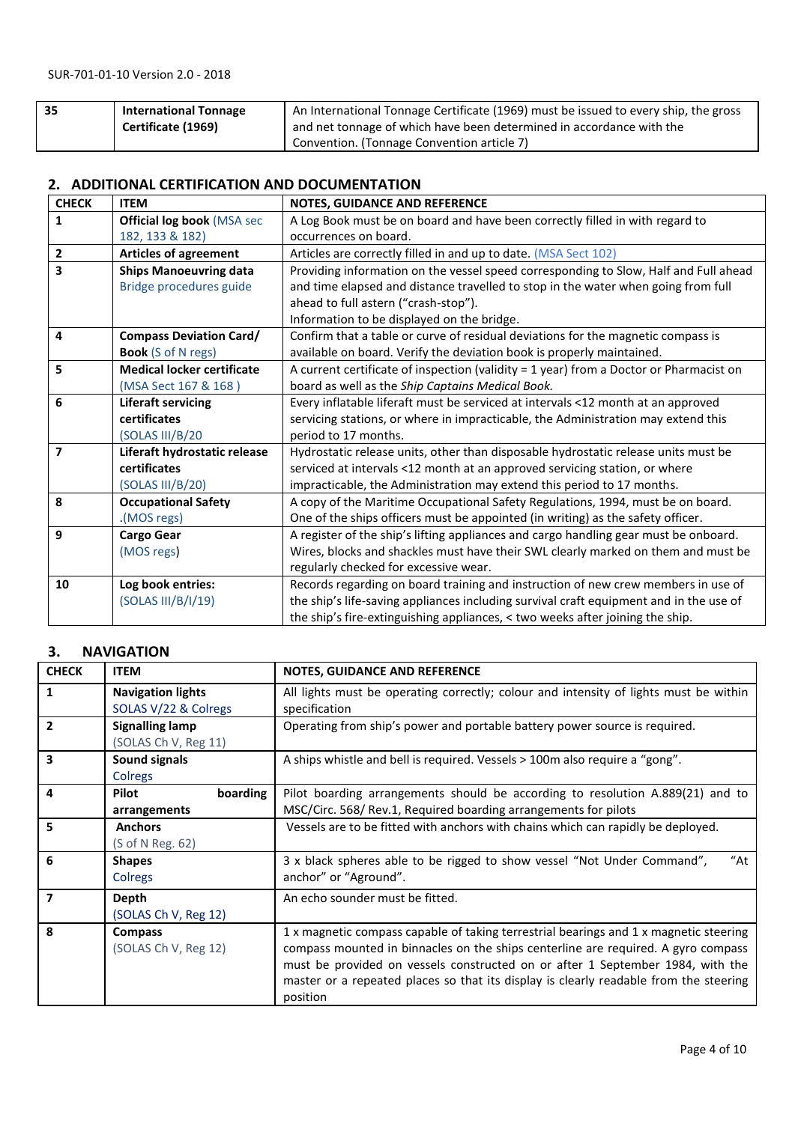| 35 | <b>International Tonnage</b> | An International Tonnage Certificate (1969) must be issued to every ship, the gross |
|----|------------------------------|-------------------------------------------------------------------------------------|
|    | Certificate (1969)           | and net tonnage of which have been determined in accordance with the                |
|    |                              | Convention. (Tonnage Convention article 7)                                          |

#### **2. ADDITIONAL CERTIFICATION AND DOCUMENTATION**

| <b>CHECK</b>            | <b>ITEM</b>                       | NOTES, GUIDANCE AND REFERENCE                                                            |
|-------------------------|-----------------------------------|------------------------------------------------------------------------------------------|
| $\mathbf{1}$            | <b>Official log book (MSA sec</b> | A Log Book must be on board and have been correctly filled in with regard to             |
|                         | 182, 133 & 182)                   | occurrences on board.                                                                    |
| $\overline{2}$          | <b>Articles of agreement</b>      | Articles are correctly filled in and up to date. (MSA Sect 102)                          |
| 3                       | <b>Ships Manoeuvring data</b>     | Providing information on the vessel speed corresponding to Slow, Half and Full ahead     |
|                         | Bridge procedures guide           | and time elapsed and distance travelled to stop in the water when going from full        |
|                         |                                   | ahead to full astern ("crash-stop").                                                     |
|                         |                                   | Information to be displayed on the bridge.                                               |
| 4                       | <b>Compass Deviation Card/</b>    | Confirm that a table or curve of residual deviations for the magnetic compass is         |
|                         | <b>Book</b> (S of N regs)         | available on board. Verify the deviation book is properly maintained.                    |
| 5                       | <b>Medical locker certificate</b> | A current certificate of inspection (validity $= 1$ year) from a Doctor or Pharmacist on |
|                         | (MSA Sect 167 & 168)              | board as well as the Ship Captains Medical Book.                                         |
| 6                       | <b>Liferaft servicing</b>         | Every inflatable liferaft must be serviced at intervals <12 month at an approved         |
|                         | certificates                      | servicing stations, or where in impracticable, the Administration may extend this        |
|                         | (SOLAS III/B/20                   | period to 17 months.                                                                     |
| $\overline{\mathbf{z}}$ | Liferaft hydrostatic release      | Hydrostatic release units, other than disposable hydrostatic release units must be       |
|                         | certificates                      | serviced at intervals <12 month at an approved servicing station, or where               |
|                         | (SOLAS III/B/20)                  | impracticable, the Administration may extend this period to 17 months.                   |
| 8                       | <b>Occupational Safety</b>        | A copy of the Maritime Occupational Safety Regulations, 1994, must be on board.          |
|                         | (MOS regs).                       | One of the ships officers must be appointed (in writing) as the safety officer.          |
| 9                       | <b>Cargo Gear</b>                 | A register of the ship's lifting appliances and cargo handling gear must be onboard.     |
|                         | (MOS regs)                        | Wires, blocks and shackles must have their SWL clearly marked on them and must be        |
|                         |                                   | regularly checked for excessive wear.                                                    |
| 10                      | Log book entries:                 | Records regarding on board training and instruction of new crew members in use of        |
|                         | (SOLAS III/B/I/19)                | the ship's life-saving appliances including survival craft equipment and in the use of   |
|                         |                                   | the ship's fire-extinguishing appliances, < two weeks after joining the ship.            |

### **3. NAVIGATION**

| <b>CHECK</b>            | <b>ITEM</b>                                            | <b>NOTES, GUIDANCE AND REFERENCE</b>                                                                                                                                                                                                                                                                                                                              |
|-------------------------|--------------------------------------------------------|-------------------------------------------------------------------------------------------------------------------------------------------------------------------------------------------------------------------------------------------------------------------------------------------------------------------------------------------------------------------|
| $\mathbf{1}$            | <b>Navigation lights</b><br>SOLAS V/22 & Colregs       | All lights must be operating correctly; colour and intensity of lights must be within<br>specification                                                                                                                                                                                                                                                            |
| $\overline{2}$          | <b>Signalling lamp</b><br>(SOLAS Ch V, Reg 11)         | Operating from ship's power and portable battery power source is required.                                                                                                                                                                                                                                                                                        |
| $\overline{\mathbf{3}}$ | Sound signals<br>Colregs                               | A ships whistle and bell is required. Vessels > 100m also require a "gong".                                                                                                                                                                                                                                                                                       |
| $\overline{4}$          | boarding<br><b>Pilot</b><br>arrangements               | Pilot boarding arrangements should be according to resolution A.889(21) and to<br>MSC/Circ. 568/ Rev.1, Required boarding arrangements for pilots                                                                                                                                                                                                                 |
| 5                       | <b>Anchors</b><br>$(S \text{ of } N \text{ Reg. } 62)$ | Vessels are to be fitted with anchors with chains which can rapidly be deployed.                                                                                                                                                                                                                                                                                  |
| 6                       | <b>Shapes</b><br>Colregs                               | "At<br>3 x black spheres able to be rigged to show vessel "Not Under Command",<br>anchor" or "Aground".                                                                                                                                                                                                                                                           |
| $\overline{7}$          | Depth<br>(SOLAS Ch V, Reg 12)                          | An echo sounder must be fitted.                                                                                                                                                                                                                                                                                                                                   |
| 8                       | <b>Compass</b><br>(SOLAS Ch V, Reg 12)                 | 1 x magnetic compass capable of taking terrestrial bearings and 1 x magnetic steering<br>compass mounted in binnacles on the ships centerline are required. A gyro compass<br>must be provided on vessels constructed on or after 1 September 1984, with the<br>master or a repeated places so that its display is clearly readable from the steering<br>position |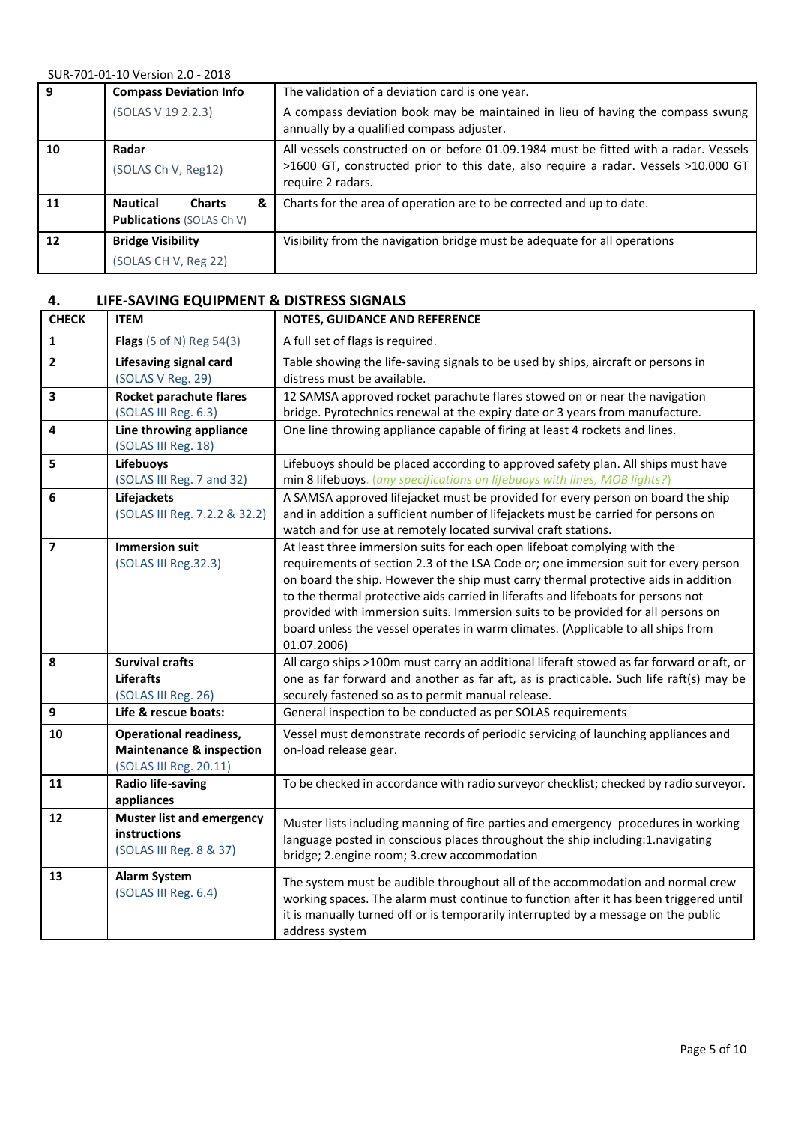| 9  | <b>Compass Deviation Info</b>         | The validation of a deviation card is one year.                                                                             |
|----|---------------------------------------|-----------------------------------------------------------------------------------------------------------------------------|
|    | (SOLAS V 19 2.2.3)                    | A compass deviation book may be maintained in lieu of having the compass swung<br>annually by a qualified compass adjuster. |
| 10 | Radar                                 | All vessels constructed on or before 01.09.1984 must be fitted with a radar. Vessels                                        |
|    | (SOLAS Ch V, Reg12)                   | >1600 GT, constructed prior to this date, also require a radar. Vessels >10.000 GT<br>require 2 radars.                     |
| 11 | <b>Nautical</b><br>&<br><b>Charts</b> | Charts for the area of operation are to be corrected and up to date.                                                        |
|    | <b>Publications (SOLAS Ch V)</b>      |                                                                                                                             |
| 12 | <b>Bridge Visibility</b>              | Visibility from the navigation bridge must be adequate for all operations                                                   |
|    | (SOLAS CH V, Reg 22)                  |                                                                                                                             |

## **4. LIFE-SAVING EQUIPMENT & DISTRESS SIGNALS**

| <b>CHECK</b>   | <b>ITEM</b>                                                                                    | NOTES, GUIDANCE AND REFERENCE                                                                                                                                                                                                                                                                                                                                                                                                                                                                                                     |
|----------------|------------------------------------------------------------------------------------------------|-----------------------------------------------------------------------------------------------------------------------------------------------------------------------------------------------------------------------------------------------------------------------------------------------------------------------------------------------------------------------------------------------------------------------------------------------------------------------------------------------------------------------------------|
| $\mathbf{1}$   | <b>Flags</b> (S of N) Reg $54(3)$                                                              | A full set of flags is required.                                                                                                                                                                                                                                                                                                                                                                                                                                                                                                  |
| $\overline{2}$ | <b>Lifesaving signal card</b><br>(SOLAS V Reg. 29)                                             | Table showing the life-saving signals to be used by ships, aircraft or persons in<br>distress must be available.                                                                                                                                                                                                                                                                                                                                                                                                                  |
| 3              | Rocket parachute flares<br>(SOLAS III Reg. 6.3)                                                | 12 SAMSA approved rocket parachute flares stowed on or near the navigation<br>bridge. Pyrotechnics renewal at the expiry date or 3 years from manufacture.                                                                                                                                                                                                                                                                                                                                                                        |
| 4              | Line throwing appliance<br>(SOLAS III Reg. 18)                                                 | One line throwing appliance capable of firing at least 4 rockets and lines.                                                                                                                                                                                                                                                                                                                                                                                                                                                       |
| 5              | Lifebuoys<br>(SOLAS III Reg. 7 and 32)                                                         | Lifebuoys should be placed according to approved safety plan. All ships must have<br>min 8 lifebuoys. (any specifications on lifebuoys with lines, MOB lights?)                                                                                                                                                                                                                                                                                                                                                                   |
| 6              | Lifejackets<br>(SOLAS III Reg. 7.2.2 & 32.2)                                                   | A SAMSA approved lifejacket must be provided for every person on board the ship<br>and in addition a sufficient number of lifejackets must be carried for persons on<br>watch and for use at remotely located survival craft stations.                                                                                                                                                                                                                                                                                            |
| 7              | <b>Immersion suit</b><br>(SOLAS III Reg.32.3)                                                  | At least three immersion suits for each open lifeboat complying with the<br>requirements of section 2.3 of the LSA Code or; one immersion suit for every person<br>on board the ship. However the ship must carry thermal protective aids in addition<br>to the thermal protective aids carried in liferafts and lifeboats for persons not<br>provided with immersion suits. Immersion suits to be provided for all persons on<br>board unless the vessel operates in warm climates. (Applicable to all ships from<br>01.07.2006) |
| 8              | <b>Survival crafts</b><br><b>Liferafts</b><br>(SOLAS III Reg. 26)                              | All cargo ships >100m must carry an additional liferaft stowed as far forward or aft, or<br>one as far forward and another as far aft, as is practicable. Such life raft(s) may be<br>securely fastened so as to permit manual release.                                                                                                                                                                                                                                                                                           |
| 9              | Life & rescue boats:                                                                           | General inspection to be conducted as per SOLAS requirements                                                                                                                                                                                                                                                                                                                                                                                                                                                                      |
| 10             | <b>Operational readiness,</b><br><b>Maintenance &amp; inspection</b><br>(SOLAS III Reg. 20.11) | Vessel must demonstrate records of periodic servicing of launching appliances and<br>on-load release gear.                                                                                                                                                                                                                                                                                                                                                                                                                        |
| 11             | <b>Radio life-saving</b><br>appliances                                                         | To be checked in accordance with radio surveyor checklist; checked by radio surveyor.                                                                                                                                                                                                                                                                                                                                                                                                                                             |
| 12             | <b>Muster list and emergency</b><br>instructions<br>(SOLAS III Reg. 8 & 37)                    | Muster lists including manning of fire parties and emergency procedures in working<br>language posted in conscious places throughout the ship including:1.navigating<br>bridge; 2.engine room; 3.crew accommodation                                                                                                                                                                                                                                                                                                               |
| 13             | <b>Alarm System</b><br>(SOLAS III Reg. 6.4)                                                    | The system must be audible throughout all of the accommodation and normal crew<br>working spaces. The alarm must continue to function after it has been triggered until<br>it is manually turned off or is temporarily interrupted by a message on the public<br>address system                                                                                                                                                                                                                                                   |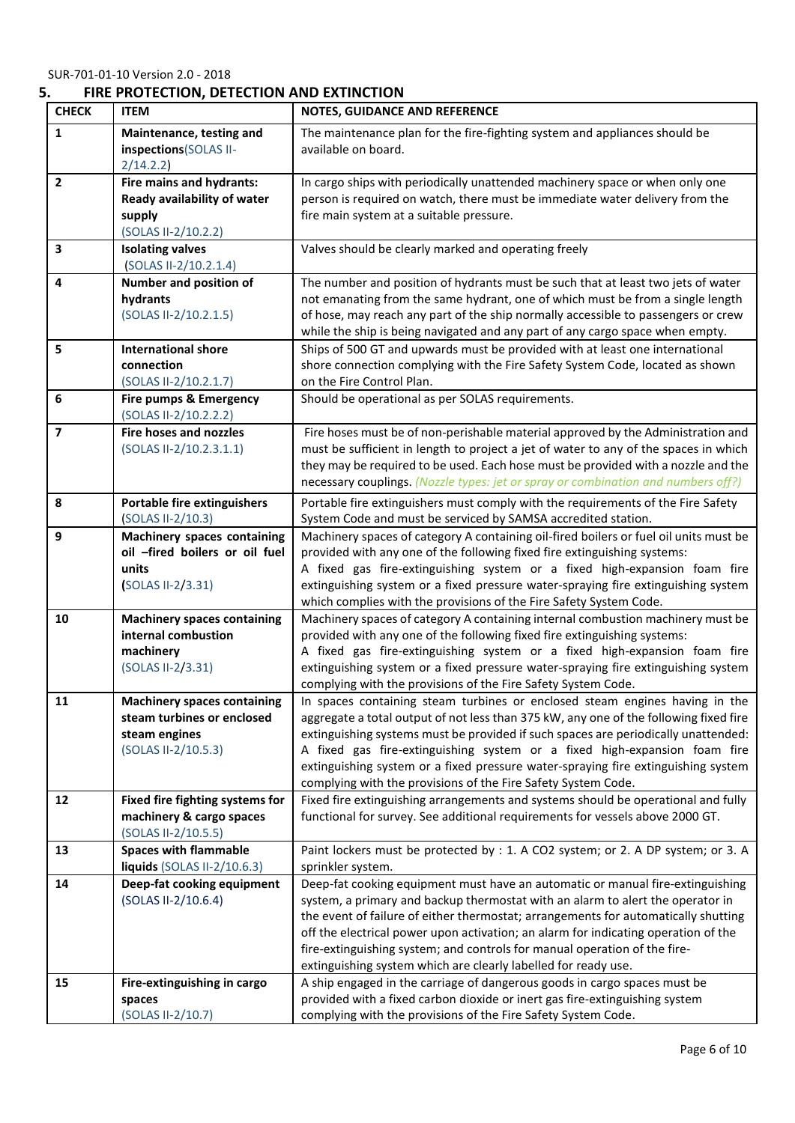## **5. FIRE PROTECTION, DETECTION AND EXTINCTION**

| <b>CHECK</b>   | <b>ITEM</b>                                            | NOTES, GUIDANCE AND REFERENCE                                                                                                                                             |
|----------------|--------------------------------------------------------|---------------------------------------------------------------------------------------------------------------------------------------------------------------------------|
| 1              | Maintenance, testing and                               | The maintenance plan for the fire-fighting system and appliances should be                                                                                                |
|                | inspections(SOLAS II-                                  | available on board.                                                                                                                                                       |
|                | 2/14.2.2)                                              |                                                                                                                                                                           |
| $\overline{2}$ | Fire mains and hydrants:                               | In cargo ships with periodically unattended machinery space or when only one                                                                                              |
|                | Ready availability of water                            | person is required on watch, there must be immediate water delivery from the                                                                                              |
|                | supply                                                 | fire main system at a suitable pressure.                                                                                                                                  |
|                | (SOLAS II-2/10.2.2)                                    |                                                                                                                                                                           |
| 3              | <b>Isolating valves</b>                                | Valves should be clearly marked and operating freely                                                                                                                      |
|                | (SOLAS II-2/10.2.1.4)                                  |                                                                                                                                                                           |
| 4              | Number and position of                                 | The number and position of hydrants must be such that at least two jets of water                                                                                          |
|                | hydrants                                               | not emanating from the same hydrant, one of which must be from a single length                                                                                            |
|                | (SOLAS II-2/10.2.1.5)                                  | of hose, may reach any part of the ship normally accessible to passengers or crew                                                                                         |
|                |                                                        | while the ship is being navigated and any part of any cargo space when empty.                                                                                             |
| 5              | <b>International shore</b>                             | Ships of 500 GT and upwards must be provided with at least one international                                                                                              |
|                | connection                                             | shore connection complying with the Fire Safety System Code, located as shown                                                                                             |
|                | (SOLAS II-2/10.2.1.7)                                  | on the Fire Control Plan.                                                                                                                                                 |
| 6              | Fire pumps & Emergency                                 | Should be operational as per SOLAS requirements.                                                                                                                          |
| $\overline{7}$ | (SOLAS II-2/10.2.2.2)<br><b>Fire hoses and nozzles</b> |                                                                                                                                                                           |
|                |                                                        | Fire hoses must be of non-perishable material approved by the Administration and                                                                                          |
|                | (SOLAS II-2/10.2.3.1.1)                                | must be sufficient in length to project a jet of water to any of the spaces in which<br>they may be required to be used. Each hose must be provided with a nozzle and the |
|                |                                                        | necessary couplings. (Nozzle types: jet or spray or combination and numbers off?)                                                                                         |
|                |                                                        |                                                                                                                                                                           |
| 8              | <b>Portable fire extinguishers</b>                     | Portable fire extinguishers must comply with the requirements of the Fire Safety                                                                                          |
|                | (SOLAS II-2/10.3)                                      | System Code and must be serviced by SAMSA accredited station.                                                                                                             |
| 9              | <b>Machinery spaces containing</b>                     | Machinery spaces of category A containing oil-fired boilers or fuel oil units must be                                                                                     |
|                | oil -fired boilers or oil fuel                         | provided with any one of the following fixed fire extinguishing systems:                                                                                                  |
|                | units                                                  | A fixed gas fire-extinguishing system or a fixed high-expansion foam fire                                                                                                 |
|                | (SOLAS II-2/3.31)                                      | extinguishing system or a fixed pressure water-spraying fire extinguishing system                                                                                         |
| 10             | <b>Machinery spaces containing</b>                     | which complies with the provisions of the Fire Safety System Code.<br>Machinery spaces of category A containing internal combustion machinery must be                     |
|                | internal combustion                                    | provided with any one of the following fixed fire extinguishing systems:                                                                                                  |
|                | machinery                                              | A fixed gas fire-extinguishing system or a fixed high-expansion foam fire                                                                                                 |
|                | (SOLAS II-2/3.31)                                      | extinguishing system or a fixed pressure water-spraying fire extinguishing system                                                                                         |
|                |                                                        | complying with the provisions of the Fire Safety System Code.                                                                                                             |
| 11             | <b>Machinery spaces containing</b>                     | In spaces containing steam turbines or enclosed steam engines having in the                                                                                               |
|                | steam turbines or enclosed                             | aggregate a total output of not less than 375 kW, any one of the following fixed fire                                                                                     |
|                | steam engines                                          | extinguishing systems must be provided if such spaces are periodically unattended:                                                                                        |
|                | (SOLAS II-2/10.5.3)                                    | A fixed gas fire-extinguishing system or a fixed high-expansion foam fire                                                                                                 |
|                |                                                        | extinguishing system or a fixed pressure water-spraying fire extinguishing system                                                                                         |
|                |                                                        | complying with the provisions of the Fire Safety System Code.                                                                                                             |
| 12             | Fixed fire fighting systems for                        | Fixed fire extinguishing arrangements and systems should be operational and fully                                                                                         |
|                | machinery & cargo spaces                               | functional for survey. See additional requirements for vessels above 2000 GT.                                                                                             |
|                | (SOLAS II-2/10.5.5)                                    |                                                                                                                                                                           |
| 13             | <b>Spaces with flammable</b>                           | Paint lockers must be protected by : 1. A CO2 system; or 2. A DP system; or 3. A                                                                                          |
|                | liquids (SOLAS II-2/10.6.3)                            | sprinkler system.                                                                                                                                                         |
| 14             | Deep-fat cooking equipment                             | Deep-fat cooking equipment must have an automatic or manual fire-extinguishing                                                                                            |
|                | (SOLAS II-2/10.6.4)                                    | system, a primary and backup thermostat with an alarm to alert the operator in                                                                                            |
|                |                                                        | the event of failure of either thermostat; arrangements for automatically shutting                                                                                        |
|                |                                                        | off the electrical power upon activation; an alarm for indicating operation of the                                                                                        |
|                |                                                        | fire-extinguishing system; and controls for manual operation of the fire-                                                                                                 |
|                |                                                        | extinguishing system which are clearly labelled for ready use.                                                                                                            |
| 15             | Fire-extinguishing in cargo                            | A ship engaged in the carriage of dangerous goods in cargo spaces must be                                                                                                 |
|                | spaces                                                 | provided with a fixed carbon dioxide or inert gas fire-extinguishing system                                                                                               |
|                | (SOLAS II-2/10.7)                                      | complying with the provisions of the Fire Safety System Code.                                                                                                             |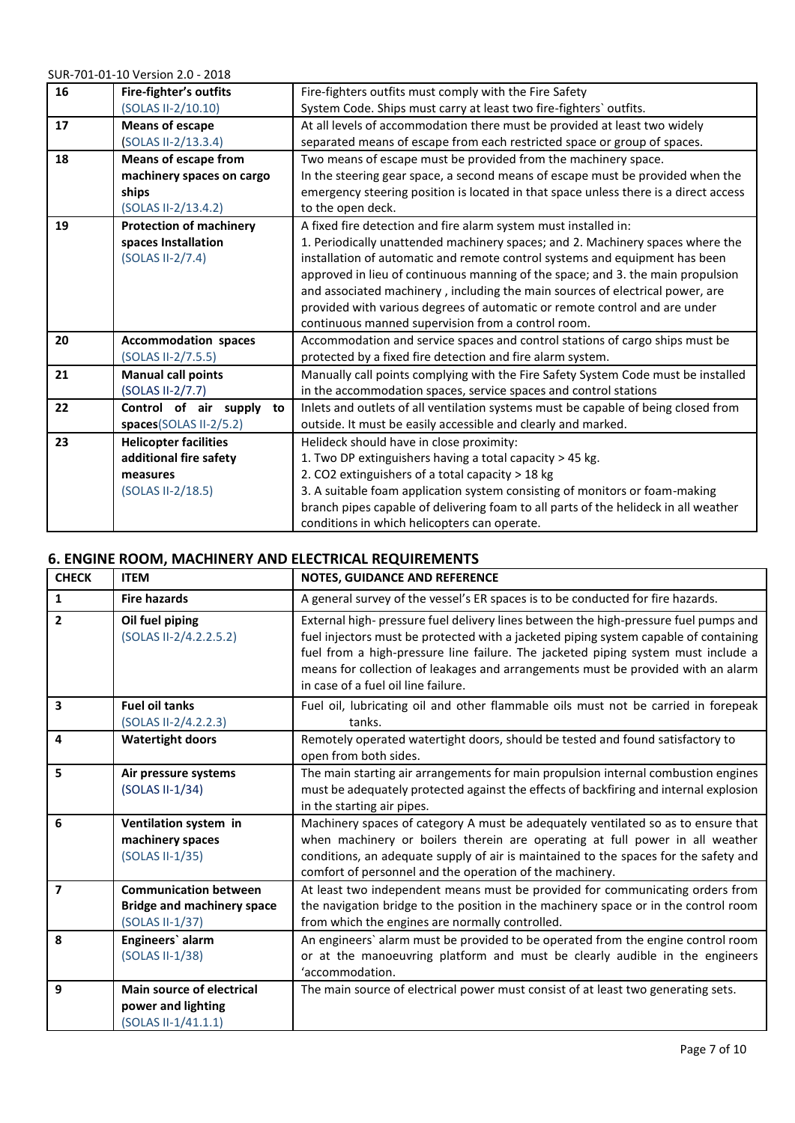| 16 | Fire-fighter's outfits         | Fire-fighters outfits must comply with the Fire Safety                               |
|----|--------------------------------|--------------------------------------------------------------------------------------|
|    | (SOLAS II-2/10.10)             | System Code. Ships must carry at least two fire-fighters' outfits.                   |
| 17 | <b>Means of escape</b>         | At all levels of accommodation there must be provided at least two widely            |
|    | (SOLAS II-2/13.3.4)            | separated means of escape from each restricted space or group of spaces.             |
| 18 | <b>Means of escape from</b>    | Two means of escape must be provided from the machinery space.                       |
|    | machinery spaces on cargo      | In the steering gear space, a second means of escape must be provided when the       |
|    | ships                          | emergency steering position is located in that space unless there is a direct access |
|    | (SOLAS II-2/13.4.2)            | to the open deck.                                                                    |
| 19 | <b>Protection of machinery</b> | A fixed fire detection and fire alarm system must installed in:                      |
|    | spaces Installation            | 1. Periodically unattended machinery spaces; and 2. Machinery spaces where the       |
|    | (SOLAS II-2/7.4)               | installation of automatic and remote control systems and equipment has been          |
|    |                                | approved in lieu of continuous manning of the space; and 3. the main propulsion      |
|    |                                | and associated machinery, including the main sources of electrical power, are        |
|    |                                | provided with various degrees of automatic or remote control and are under           |
|    |                                | continuous manned supervision from a control room.                                   |
| 20 | <b>Accommodation spaces</b>    | Accommodation and service spaces and control stations of cargo ships must be         |
|    | (SOLAS II-2/7.5.5)             | protected by a fixed fire detection and fire alarm system.                           |
| 21 | <b>Manual call points</b>      | Manually call points complying with the Fire Safety System Code must be installed    |
|    | (SOLAS II-2/7.7)               | in the accommodation spaces, service spaces and control stations                     |
| 22 | Control of air supply<br>to    | Inlets and outlets of all ventilation systems must be capable of being closed from   |
|    | spaces(SOLAS II-2/5.2)         | outside. It must be easily accessible and clearly and marked.                        |
| 23 | <b>Helicopter facilities</b>   | Helideck should have in close proximity:                                             |
|    | additional fire safety         | 1. Two DP extinguishers having a total capacity > 45 kg.                             |
|    | measures                       | 2. CO2 extinguishers of a total capacity > 18 kg                                     |
|    | (SOLAS II-2/18.5)              | 3. A suitable foam application system consisting of monitors or foam-making          |
|    |                                | branch pipes capable of delivering foam to all parts of the helideck in all weather  |
|    |                                | conditions in which helicopters can operate.                                         |

## **6. ENGINE ROOM, MACHINERY AND ELECTRICAL REQUIREMENTS**

| <b>CHECK</b>            | <b>ITEM</b>                                                                          | <b>NOTES, GUIDANCE AND REFERENCE</b>                                                                                                                                                                                                                                                                                                                                                         |
|-------------------------|--------------------------------------------------------------------------------------|----------------------------------------------------------------------------------------------------------------------------------------------------------------------------------------------------------------------------------------------------------------------------------------------------------------------------------------------------------------------------------------------|
| 1                       | <b>Fire hazards</b>                                                                  | A general survey of the vessel's ER spaces is to be conducted for fire hazards.                                                                                                                                                                                                                                                                                                              |
| $\overline{2}$          | Oil fuel piping<br>(SOLAS II-2/4.2.2.5.2)                                            | External high- pressure fuel delivery lines between the high-pressure fuel pumps and<br>fuel injectors must be protected with a jacketed piping system capable of containing<br>fuel from a high-pressure line failure. The jacketed piping system must include a<br>means for collection of leakages and arrangements must be provided with an alarm<br>in case of a fuel oil line failure. |
| 3                       | <b>Fuel oil tanks</b><br>(SOLAS II-2/4.2.2.3)                                        | Fuel oil, lubricating oil and other flammable oils must not be carried in forepeak<br>tanks.                                                                                                                                                                                                                                                                                                 |
| 4                       | <b>Watertight doors</b>                                                              | Remotely operated watertight doors, should be tested and found satisfactory to<br>open from both sides.                                                                                                                                                                                                                                                                                      |
| 5                       | Air pressure systems<br>(SOLAS II-1/34)                                              | The main starting air arrangements for main propulsion internal combustion engines<br>must be adequately protected against the effects of backfiring and internal explosion<br>in the starting air pipes.                                                                                                                                                                                    |
| 6                       | Ventilation system in<br>machinery spaces<br>(SOLAS II-1/35)                         | Machinery spaces of category A must be adequately ventilated so as to ensure that<br>when machinery or boilers therein are operating at full power in all weather<br>conditions, an adequate supply of air is maintained to the spaces for the safety and<br>comfort of personnel and the operation of the machinery.                                                                        |
| $\overline{\mathbf{z}}$ | <b>Communication between</b><br><b>Bridge and machinery space</b><br>(SOLAS II-1/37) | At least two independent means must be provided for communicating orders from<br>the navigation bridge to the position in the machinery space or in the control room<br>from which the engines are normally controlled.                                                                                                                                                                      |
| 8                       | Engineers' alarm<br>(SOLAS II-1/38)                                                  | An engineers' alarm must be provided to be operated from the engine control room<br>or at the manoeuvring platform and must be clearly audible in the engineers<br>'accommodation.                                                                                                                                                                                                           |
| 9                       | Main source of electrical<br>power and lighting<br>(SOLAS II-1/41.1.1)               | The main source of electrical power must consist of at least two generating sets.                                                                                                                                                                                                                                                                                                            |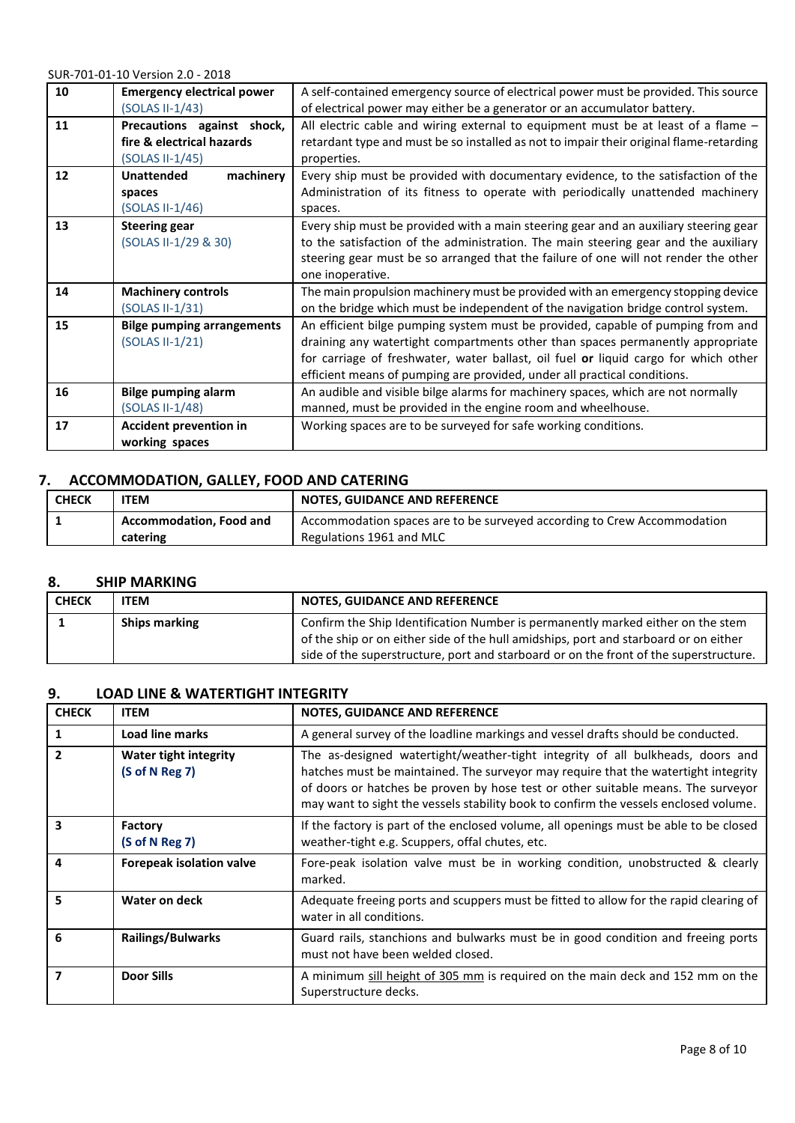| 10 | <b>Emergency electrical power</b><br>(SOLAS II-1/43)                         | A self-contained emergency source of electrical power must be provided. This source<br>of electrical power may either be a generator or an accumulator battery.                                                                                                                                                                      |
|----|------------------------------------------------------------------------------|--------------------------------------------------------------------------------------------------------------------------------------------------------------------------------------------------------------------------------------------------------------------------------------------------------------------------------------|
| 11 | Precautions against shock,<br>fire & electrical hazards<br>$(SOLAS II-1/45)$ | All electric cable and wiring external to equipment must be at least of a flame -<br>retardant type and must be so installed as not to impair their original flame-retarding<br>properties.                                                                                                                                          |
| 12 | machinery<br><b>Unattended</b><br>spaces<br>$(SOLAS II-1/46)$                | Every ship must be provided with documentary evidence, to the satisfaction of the<br>Administration of its fitness to operate with periodically unattended machinery<br>spaces.                                                                                                                                                      |
| 13 | <b>Steering gear</b><br>(SOLAS II-1/29 & 30)                                 | Every ship must be provided with a main steering gear and an auxiliary steering gear<br>to the satisfaction of the administration. The main steering gear and the auxiliary<br>steering gear must be so arranged that the failure of one will not render the other<br>one inoperative.                                               |
| 14 | <b>Machinery controls</b><br>(SOLAS II-1/31)                                 | The main propulsion machinery must be provided with an emergency stopping device<br>on the bridge which must be independent of the navigation bridge control system.                                                                                                                                                                 |
| 15 | <b>Bilge pumping arrangements</b><br>(SOLAS II-1/21)                         | An efficient bilge pumping system must be provided, capable of pumping from and<br>draining any watertight compartments other than spaces permanently appropriate<br>for carriage of freshwater, water ballast, oil fuel or liquid cargo for which other<br>efficient means of pumping are provided, under all practical conditions. |
| 16 | <b>Bilge pumping alarm</b><br>$(SOLAS II-1/48)$                              | An audible and visible bilge alarms for machinery spaces, which are not normally<br>manned, must be provided in the engine room and wheelhouse.                                                                                                                                                                                      |
| 17 | Accident prevention in<br>working spaces                                     | Working spaces are to be surveyed for safe working conditions.                                                                                                                                                                                                                                                                       |

#### **7. ACCOMMODATION, GALLEY, FOOD AND CATERING**

| <b>CHECK</b> | <b>ITEM</b>                    | <b>NOTES, GUIDANCE AND REFERENCE</b>                                    |
|--------------|--------------------------------|-------------------------------------------------------------------------|
|              | <b>Accommodation, Food and</b> | Accommodation spaces are to be surveyed according to Crew Accommodation |
|              | catering                       | Regulations 1961 and MLC                                                |

#### **8. SHIP MARKING**

| <b>CHECK</b> | <b>ITEM</b>          | <b>NOTES, GUIDANCE AND REFERENCE</b>                                                                                                                                                                                                                             |
|--------------|----------------------|------------------------------------------------------------------------------------------------------------------------------------------------------------------------------------------------------------------------------------------------------------------|
|              | <b>Ships marking</b> | Confirm the Ship Identification Number is permanently marked either on the stem<br>of the ship or on either side of the hull amidships, port and starboard or on either<br>side of the superstructure, port and starboard or on the front of the superstructure. |

#### **9. LOAD LINE & WATERTIGHT INTEGRITY**

| <b>CHECK</b> | <b>ITEM</b>                                    | <b>NOTES, GUIDANCE AND REFERENCE</b>                                                                                                                                                                                                                                                                                                             |
|--------------|------------------------------------------------|--------------------------------------------------------------------------------------------------------------------------------------------------------------------------------------------------------------------------------------------------------------------------------------------------------------------------------------------------|
|              | <b>Load line marks</b>                         | A general survey of the loadline markings and vessel drafts should be conducted.                                                                                                                                                                                                                                                                 |
|              | <b>Water tight integrity</b><br>(S of N Reg 7) | The as-designed watertight/weather-tight integrity of all bulkheads, doors and<br>hatches must be maintained. The surveyor may require that the watertight integrity<br>of doors or hatches be proven by hose test or other suitable means. The surveyor<br>may want to sight the vessels stability book to confirm the vessels enclosed volume. |
| 3            | Factory<br>(S of N Reg 7)                      | If the factory is part of the enclosed volume, all openings must be able to be closed<br>weather-tight e.g. Scuppers, offal chutes, etc.                                                                                                                                                                                                         |
| 4            | <b>Forepeak isolation valve</b>                | Fore-peak isolation valve must be in working condition, unobstructed & clearly<br>marked.                                                                                                                                                                                                                                                        |
| 5            | Water on deck                                  | Adequate freeing ports and scuppers must be fitted to allow for the rapid clearing of<br>water in all conditions.                                                                                                                                                                                                                                |
| 6            | <b>Railings/Bulwarks</b>                       | Guard rails, stanchions and bulwarks must be in good condition and freeing ports<br>must not have been welded closed.                                                                                                                                                                                                                            |
|              | <b>Door Sills</b>                              | A minimum sill height of 305 mm is required on the main deck and 152 mm on the<br>Superstructure decks.                                                                                                                                                                                                                                          |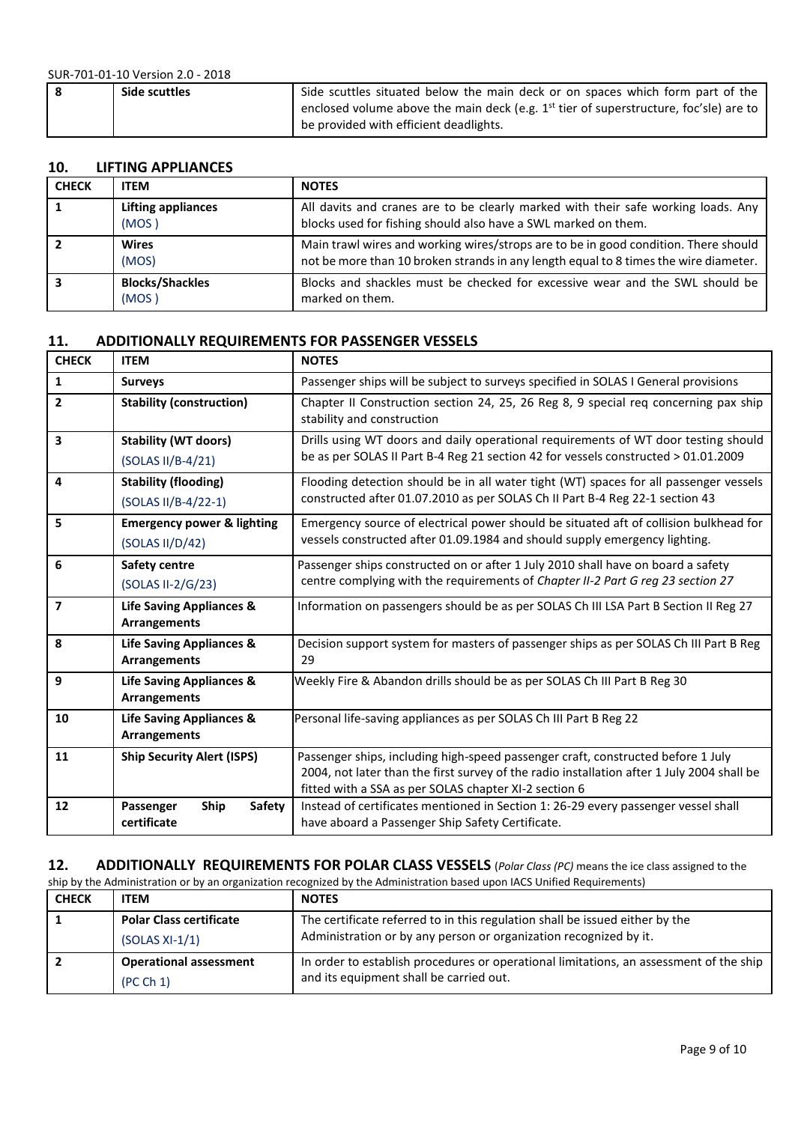| Side scuttles | Side scuttles situated below the main deck or on spaces which form part of the             |
|---------------|--------------------------------------------------------------------------------------------|
|               | enclosed volume above the main deck (e.g. $1^{st}$ tier of superstructure, foc'sle) are to |
|               | be provided with efficient deadlights.                                                     |

#### **10. LIFTING APPLIANCES**

| <b>CHECK</b> | <b>ITEM</b>                        | <b>NOTES</b>                                                                                                                                                                |
|--------------|------------------------------------|-----------------------------------------------------------------------------------------------------------------------------------------------------------------------------|
|              | <b>Lifting appliances</b><br>(MOS) | All davits and cranes are to be clearly marked with their safe working loads. Any<br>blocks used for fishing should also have a SWL marked on them.                         |
|              | <b>Wires</b><br>(MOS)              | Main trawl wires and working wires/strops are to be in good condition. There should<br>not be more than 10 broken strands in any length equal to 8 times the wire diameter. |
|              | <b>Blocks/Shackles</b><br>(MOS)    | Blocks and shackles must be checked for excessive wear and the SWL should be<br>marked on them.                                                                             |

#### **11. ADDITIONALLY REQUIREMENTS FOR PASSENGER VESSELS**

| <b>CHECK</b>            | <b>ITEM</b>                                                | <b>NOTES</b>                                                                                                                                                                                                                            |
|-------------------------|------------------------------------------------------------|-----------------------------------------------------------------------------------------------------------------------------------------------------------------------------------------------------------------------------------------|
| $\mathbf{1}$            | <b>Surveys</b>                                             | Passenger ships will be subject to surveys specified in SOLAS I General provisions                                                                                                                                                      |
| $\overline{2}$          | <b>Stability (construction)</b>                            | Chapter II Construction section 24, 25, 26 Reg 8, 9 special reg concerning pax ship<br>stability and construction                                                                                                                       |
| $\overline{\mathbf{3}}$ | <b>Stability (WT doors)</b><br>(SOLAS II/B-4/21)           | Drills using WT doors and daily operational requirements of WT door testing should<br>be as per SOLAS II Part B-4 Reg 21 section 42 for vessels constructed > 01.01.2009                                                                |
| 4                       | <b>Stability (flooding)</b><br>(SOLAS II/B-4/22-1)         | Flooding detection should be in all water tight (WT) spaces for all passenger vessels<br>constructed after 01.07.2010 as per SOLAS Ch II Part B-4 Reg 22-1 section 43                                                                   |
| 5                       | <b>Emergency power &amp; lighting</b><br>(SOLAS II/D/42)   | Emergency source of electrical power should be situated aft of collision bulkhead for<br>vessels constructed after 01.09.1984 and should supply emergency lighting.                                                                     |
| 6                       | Safety centre<br>(SOLAS II-2/G/23)                         | Passenger ships constructed on or after 1 July 2010 shall have on board a safety<br>centre complying with the requirements of Chapter II-2 Part G reg 23 section 27                                                                     |
| $\overline{\mathbf{z}}$ | Life Saving Appliances &<br><b>Arrangements</b>            | Information on passengers should be as per SOLAS Ch III LSA Part B Section II Reg 27                                                                                                                                                    |
| 8                       | <b>Life Saving Appliances &amp;</b><br><b>Arrangements</b> | Decision support system for masters of passenger ships as per SOLAS Ch III Part B Reg<br>29                                                                                                                                             |
| 9                       | <b>Life Saving Appliances &amp;</b><br><b>Arrangements</b> | Weekly Fire & Abandon drills should be as per SOLAS Ch III Part B Reg 30                                                                                                                                                                |
| 10                      | <b>Life Saving Appliances &amp;</b><br><b>Arrangements</b> | Personal life-saving appliances as per SOLAS Ch III Part B Reg 22                                                                                                                                                                       |
| 11                      | <b>Ship Security Alert (ISPS)</b>                          | Passenger ships, including high-speed passenger craft, constructed before 1 July<br>2004, not later than the first survey of the radio installation after 1 July 2004 shall be<br>fitted with a SSA as per SOLAS chapter XI-2 section 6 |
| 12                      | Ship<br>Passenger<br>Safety<br>certificate                 | Instead of certificates mentioned in Section 1: 26-29 every passenger vessel shall<br>have aboard a Passenger Ship Safety Certificate.                                                                                                  |

#### **12. ADDITIONALLY REQUIREMENTS FOR POLAR CLASS VESSELS** (*Polar Class (PC)* means the ice class assigned to the

| ship by the Administration or by an organization recognized by the Administration based upon IACS Unified Requirements) |                                |                                                                                        |
|-------------------------------------------------------------------------------------------------------------------------|--------------------------------|----------------------------------------------------------------------------------------|
| <b>CHECK</b>                                                                                                            | <b>ITEM</b>                    | <b>NOTES</b>                                                                           |
|                                                                                                                         | <b>Polar Class certificate</b> | The certificate referred to in this regulation shall be issued either by the           |
|                                                                                                                         | $(SOLAS XI-1/1)$               | Administration or by any person or organization recognized by it.                      |
|                                                                                                                         | <b>Operational assessment</b>  | In order to establish procedures or operational limitations, an assessment of the ship |
|                                                                                                                         | (PC Ch 1)                      | and its equipment shall be carried out.                                                |